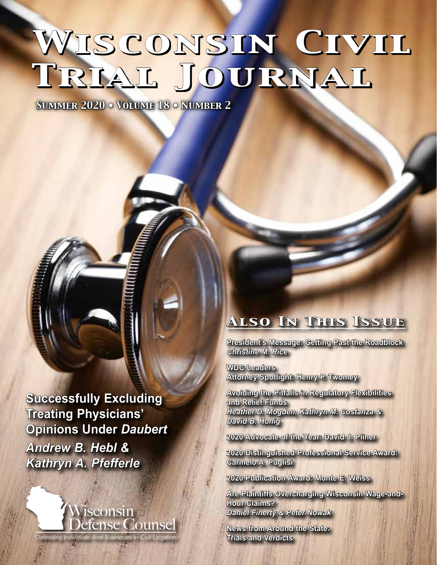# WISCONSIN CIVIL *Trial Journal*

*Summer 2020 • Volume 18 • Number 2*

**Successfully Excluding Treating Physicians' Opinions Under** *Daubert Andrew B. Hebl & Kathryn A. Pfefferle*



### *Also In This Issue*

**President's Message: Getting Past the Roadblock**  *Christine M. Rice*

**WDC Leaders Attorney Spotlight: Henry P. Twomey**

**Avoiding the Pitfalls in Regulatory Flexibilities and Relief Funds**  *Heather D. Mogden, Kathryn M. Costanza & David B. Honig*

**2020 Advocate of the Year: David J. Pliner**

**2020 Distinguished Professional Service Award: Carmelo A. Puglisi**

**2020 Publication Award: Monte E. Weiss**

**Are Plaintiffs Overcharging Wisconsin Wage-and-Hour Claims?** *Daniel Finerty & Peter Nowak*

**News from Around the State: Trials and Verdicts**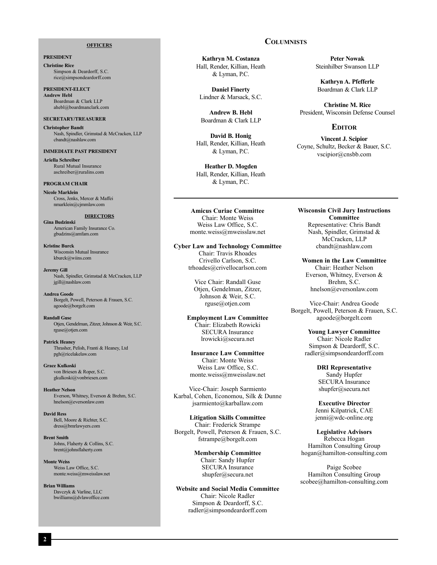#### **OFFICERS**

### **PRESIDENT**

**Christine Rice** Simpson & Deardorff, S.C. rice@simpsondeardorff.com

**PRESIDENT-ELECT Andrew Hebl** Boardman & Clark LLP ahebl@boardmanclark.com

### **SECRETARY/TREASURER**

**Christopher Bandt** Nash, Spindler, Grimstad & McCracken, LLP cbandt@nashlaw.com

### **IMMEDIATE PAST PRESIDENT**

**Ariella Schreiber** Rural Mutual Insurance aschreiber@ruralins.com

### **PROGRAM CHAIR**

**Nicole Marklein** Cross, Jenks, Mercer & Maffei nmarklein@cjmmlaw.com

### **DIRECTORS**

**Gina Budzinski** American Family Insurance Co. gbudzins@amfam.com

**Kristine Burck** Wisconsin Mutual Insurance kburck@wiins.com

**Jeremy Gill** Nash, Spindler, Grimstad & McCracken, LLP jgill@nashlaw.com

**Andrea Goode** Borgelt, Powell, Peterson & Frauen, S.C. agoode@borgelt.com

**Randall Guse** Otjen, Gendelman, Zitzer, Johnson & Weir, S.C. rguse@otjen.com

**Patrick Heaney** Thrasher, Pelish, Franti & Heaney, Ltd pgh@ricelakelaw.com

**Grace Kulkoski** von Briesen & Roper, S.C. gkulkoski@vonbriesen.com

**Heather Nelson** Everson, Whitney, Everson & Brehm, S.C. hnelson@eversonlaw.com

**David Ress** Bell, Moore & Richter, S.C. dress@bmrlawyers.com

### **Brent Smith** Johns, Flaherty & Collins, S.C. brent@johnsflaherty.com

**Monte Weiss** Weiss Law Office, S.C. monte.weiss@mweisslaw.net

**Brian Williams** Davczyk & Varline, LLC bwilliams@dvlawoffice.com

**Columnists**

**Kathryn M. Costanza** Hall, Render, Killian, Heath & Lyman, P.C.

**Daniel Finerty** Lindner & Marsack, S.C.

**Andrew B. Hebl**  Boardman & Clark LLP

**David B. Honig** Hall, Render, Killian, Heath & Lyman, P.C.

**Heather D. Mogden** Hall, Render, Killian, Heath & Lyman, P.C.

**Amicus Curiae Committee** Chair: Monte Weiss Weiss Law Office, S.C. monte.weiss@mweisslaw.net

**Cyber Law and Technology Committee** Chair: Travis Rhoades Crivello Carlson, S.C. trhoades@crivellocarlson.com

> Vice Chair: Randall Guse Otjen, Gendelman, Zitzer, Johnson & Weir, S.C. rguse@otjen.com

**Employment Law Committee** Chair: Elizabeth Rowicki SECURA Insurance lrowicki@secura.net

**Insurance Law Committee** Chair: Monte Weiss Weiss Law Office, S.C. monte.weiss@mweisslaw.net

Vice-Chair: Joseph Sarmiento Karbal, Cohen, Economou, Silk & Dunne jsarmiento@karballaw.com

**Litigation Skills Committee** Chair: Frederick Strampe Borgelt, Powell, Peterson & Frauen, S.C. fstrampe@borgelt.com

> **Membership Committee** Chair: Sandy Hupfer SECURA Insurance shupfer@secura.net

**Website and Social Media Committee** Chair: Nicole Radler Simpson & Deardorff, S.C. radler@simpsondeardorff.com

**Peter Nowak** Steinhilber Swanson LLP

**Kathryn A. Pfefferle** Boardman & Clark LLP

**Christine M. Rice** President, Wisconsin Defense Counsel

### **Editor**

**Vincent J. Scipior** Coyne, Schultz, Becker & Bauer, S.C. vscipior@cnsbb.com

**Wisconsin Civil Jury Instructions Committee** Representative: Chris Bandt Nash, Spindler, Grimstad & McCracken, LLP cbandt@nashlaw.com

**Women in the Law Committee** Chair: Heather Nelson Everson, Whitney, Everson & Brehm, S.C. hnelson@eversonlaw.com

Vice-Chair: Andrea Goode Borgelt, Powell, Peterson & Frauen, S.C. agoode@borgelt.com

> **Young Lawyer Committee** Chair: Nicole Radler Simpson & Deardorff, S.C. radler@simpsondeardorff.com

> > **DRI Representative** Sandy Hupfer SECURA Insurance shupfer@secura.net

**Executive Director** Jenni Kilpatrick, CAE jenni@wdc-online.org

**Legislative Advisors** Rebecca Hogan Hamilton Consulting Group hogan@hamilton-consulting.com

Paige Scobee Hamilton Consulting Group scobee@hamilton-consulting.com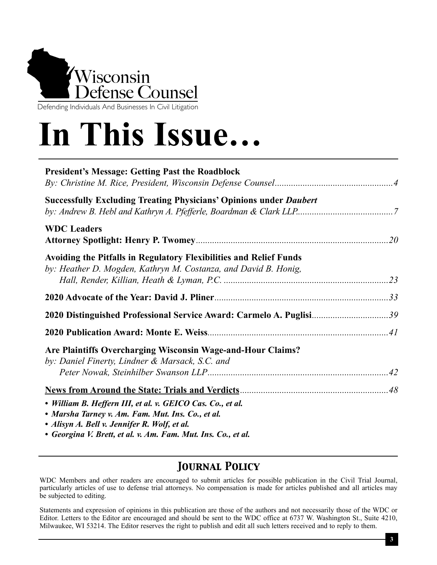

Defending Individuals And Businesses In Civil Litigation

# **In This Issue…**

| <b>President's Message: Getting Past the Roadblock</b>                                                                                                          |  |
|-----------------------------------------------------------------------------------------------------------------------------------------------------------------|--|
| <b>Successfully Excluding Treating Physicians' Opinions under Daubert</b>                                                                                       |  |
| <b>WDC Leaders</b>                                                                                                                                              |  |
| Avoiding the Pitfalls in Regulatory Flexibilities and Relief Funds<br>by: Heather D. Mogden, Kathryn M. Costanza, and David B. Honig,                           |  |
|                                                                                                                                                                 |  |
| 2020 Distinguished Professional Service Award: Carmelo A. Puglisi39                                                                                             |  |
|                                                                                                                                                                 |  |
| Are Plaintiffs Overcharging Wisconsin Wage-and-Hour Claims?<br>by: Daniel Finerty, Lindner & Marsack, S.C. and                                                  |  |
|                                                                                                                                                                 |  |
| • William B. Heffern III, et al. v. GEICO Cas. Co., et al.<br>• Marsha Tarney v. Am. Fam. Mut. Ins. Co., et al.<br>• Alisyn A. Bell v. Jennifer R. Wolf, et al. |  |

*• Georgina V. Brett, et al. v. Am. Fam. Mut. Ins. Co., et al.*

### *Journal Policy*

WDC Members and other readers are encouraged to submit articles for possible publication in the Civil Trial Journal, particularly articles of use to defense trial attorneys. No compensation is made for articles published and all articles may be subjected to editing.

Statements and expression of opinions in this publication are those of the authors and not necessarily those of the WDC or Editor. Letters to the Editor are encouraged and should be sent to the WDC office at 6737 W. Washington St., Suite 4210, Milwaukee, WI 53214. The Editor reserves the right to publish and edit all such letters received and to reply to them.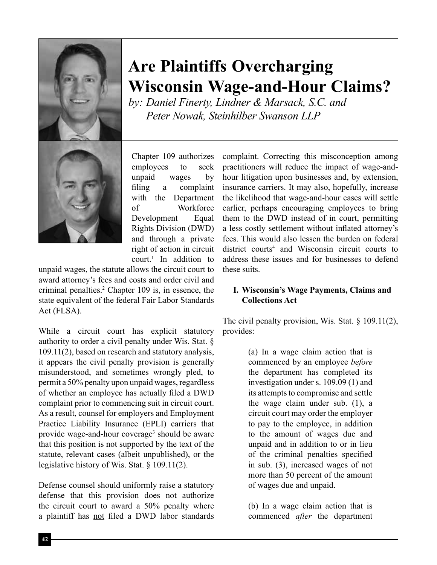

Chapter 109 authorizes employees to seek unpaid wages by filing a complaint with the Department of Workforce Development Equal Rights Division (DWD) and through a private right of action in circuit court.<sup>1</sup> In addition to

unpaid wages, the statute allows the circuit court to award attorney's fees and costs and order civil and criminal penalties.2 Chapter 109 is, in essence, the state equivalent of the federal Fair Labor Standards Act (FLSA).

While a circuit court has explicit statutory authority to order a civil penalty under Wis. Stat. § 109.11(2), based on research and statutory analysis, it appears the civil penalty provision is generally misunderstood, and sometimes wrongly pled, to permit a 50% penalty upon unpaid wages, regardless of whether an employee has actually filed a DWD complaint prior to commencing suit in circuit court. As a result, counsel for employers and Employment Practice Liability Insurance (EPLI) carriers that provide wage-and-hour coverage<sup>3</sup> should be aware that this position is not supported by the text of the statute, relevant cases (albeit unpublished), or the legislative history of Wis. Stat. § 109.11(2).

Defense counsel should uniformly raise a statutory defense that this provision does not authorize the circuit court to award a 50% penalty where a plaintiff has not filed a DWD labor standards

## **Are Plaintiffs Overcharging Wisconsin Wage-and-Hour Claims?**

*by: Daniel Finerty, Lindner & Marsack, S.C. and Peter Nowak, Steinhilber Swanson LLP*

> complaint. Correcting this misconception among practitioners will reduce the impact of wage-andhour litigation upon businesses and, by extension, insurance carriers. It may also, hopefully, increase the likelihood that wage-and-hour cases will settle earlier, perhaps encouraging employees to bring them to the DWD instead of in court, permitting a less costly settlement without inflated attorney's fees. This would also lessen the burden on federal district courts<sup>4</sup> and Wisconsin circuit courts to address these issues and for businesses to defend these suits.

### **I. Wisconsin's Wage Payments, Claims and Collections Act**

The civil penalty provision, Wis. Stat. § 109.11(2), provides:

> (a) In a wage claim action that is commenced by an employee *before* the department has completed its investigation under s. 109.09 (1) and its attempts to compromise and settle the wage claim under sub. (1), a circuit court may order the employer to pay to the employee, in addition to the amount of wages due and unpaid and in addition to or in lieu of the criminal penalties specified in sub. (3), increased wages of not more than 50 percent of the amount of wages due and unpaid.

> (b) In a wage claim action that is commenced *after* the department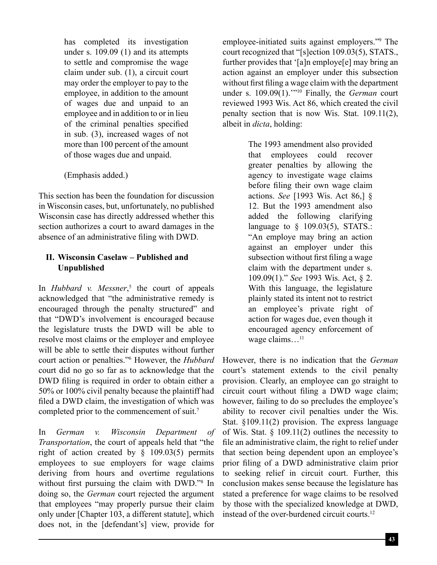has completed its investigation under s. 109.09 (1) and its attempts to settle and compromise the wage claim under sub. (1), a circuit court may order the employer to pay to the employee, in addition to the amount of wages due and unpaid to an employee and in addition to or in lieu of the criminal penalties specified in sub. (3), increased wages of not more than 100 percent of the amount of those wages due and unpaid.

(Emphasis added.)

This section has been the foundation for discussion in Wisconsin cases, but, unfortunately, no published Wisconsin case has directly addressed whether this section authorizes a court to award damages in the absence of an administrative filing with DWD.

### **II. Wisconsin Caselaw – Published and Unpublished**

In *Hubbard v. Messner*, 5 the court of appeals acknowledged that "the administrative remedy is encouraged through the penalty structured" and that "DWD's involvement is encouraged because the legislature trusts the DWD will be able to resolve most claims or the employer and employee will be able to settle their disputes without further court action or penalties."6 However, the *Hubbard* court did no go so far as to acknowledge that the DWD filing is required in order to obtain either a 50% or 100% civil penalty because the plaintiff had filed a DWD claim, the investigation of which was completed prior to the commencement of suit.7

In *German v. Wisconsin Department of Transportation*, the court of appeals held that "the right of action created by § 109.03(5) permits employees to sue employers for wage claims deriving from hours and overtime regulations without first pursuing the claim with DWD."<sup>8</sup> In doing so, the *German* court rejected the argument that employees "may properly pursue their claim only under [Chapter 103, a different statute], which does not, in the [defendant's] view, provide for

employee-initiated suits against employers."9 The court recognized that "[s]ection 109.03(5), STATS., further provides that '[a]n employe[e] may bring an action against an employer under this subsection without first filing a wage claim with the department under s. 109.09(1).'"10 Finally, the *German* court reviewed 1993 Wis. Act 86, which created the civil penalty section that is now Wis. Stat. 109.11(2), albeit in *dicta*, holding:

> The 1993 amendment also provided that employees could recover greater penalties by allowing the agency to investigate wage claims before filing their own wage claim actions. *See* [1993 Wis. Act 86,] § 12. But the 1993 amendment also added the following clarifying language to § 109.03(5), STATS.: "An employe may bring an action against an employer under this subsection without first filing a wage claim with the department under s. 109.09(1)." *See* 1993 Wis. Act, § 2. With this language, the legislature plainly stated its intent not to restrict an employee's private right of action for wages due, even though it encouraged agency enforcement of wage claims...<sup>11</sup>

However, there is no indication that the *German* court's statement extends to the civil penalty provision. Clearly, an employee can go straight to circuit court without filing a DWD wage claim; however, failing to do so precludes the employee's ability to recover civil penalties under the Wis. Stat. §109.11(2) provision. The express language of Wis. Stat.  $\S$  109.11(2) outlines the necessity to file an administrative claim, the right to relief under that section being dependent upon an employee's prior filing of a DWD administrative claim prior to seeking relief in circuit court. Further, this conclusion makes sense because the legislature has stated a preference for wage claims to be resolved by those with the specialized knowledge at DWD, instead of the over-burdened circuit courts.<sup>12</sup>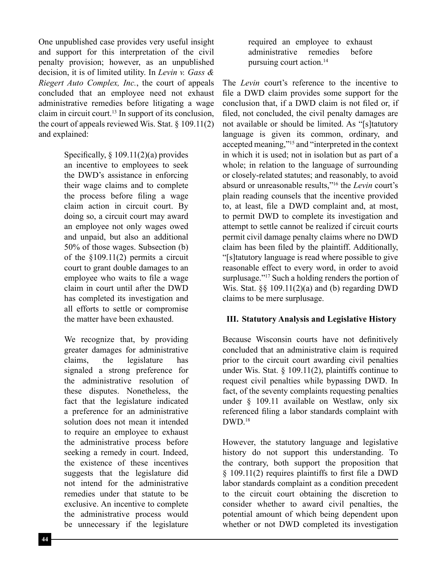One unpublished case provides very useful insight and support for this interpretation of the civil penalty provision; however, as an unpublished decision, it is of limited utility. In *Levin v. Gass & Riegert Auto Complex, Inc.*, the court of appeals concluded that an employee need not exhaust administrative remedies before litigating a wage claim in circuit court.13 In support of its conclusion, the court of appeals reviewed Wis. Stat.  $\S 109.11(2)$ and explained:

> Specifically,  $\S 109.11(2)(a)$  provides an incentive to employees to seek the DWD's assistance in enforcing their wage claims and to complete the process before filing a wage claim action in circuit court. By doing so, a circuit court may award an employee not only wages owed and unpaid, but also an additional 50% of those wages. Subsection (b) of the §109.11(2) permits a circuit court to grant double damages to an employee who waits to file a wage claim in court until after the DWD has completed its investigation and all efforts to settle or compromise the matter have been exhausted.

> We recognize that, by providing greater damages for administrative claims, the legislature has signaled a strong preference for the administrative resolution of these disputes. Nonetheless, the fact that the legislature indicated a preference for an administrative solution does not mean it intended to require an employee to exhaust the administrative process before seeking a remedy in court. Indeed, the existence of these incentives suggests that the legislature did not intend for the administrative remedies under that statute to be exclusive. An incentive to complete the administrative process would be unnecessary if the legislature

required an employee to exhaust administrative remedies before pursuing court action.14

The *Levin* court's reference to the incentive to file a DWD claim provides some support for the conclusion that, if a DWD claim is not filed or, if filed, not concluded, the civil penalty damages are not available or should be limited. As "[s]tatutory language is given its common, ordinary, and accepted meaning,"15 and "interpreted in the context in which it is used; not in isolation but as part of a whole; in relation to the language of surrounding or closely-related statutes; and reasonably, to avoid absurd or unreasonable results,"16 the *Levin* court's plain reading counsels that the incentive provided to, at least, file a DWD complaint and, at most, to permit DWD to complete its investigation and attempt to settle cannot be realized if circuit courts permit civil damage penalty claims where no DWD claim has been filed by the plaintiff. Additionally, "[s]tatutory language is read where possible to give reasonable effect to every word, in order to avoid surplusage."<sup>17</sup> Such a holding renders the portion of Wis. Stat.  $\S$  109.11(2)(a) and (b) regarding DWD claims to be mere surplusage.

### **III. Statutory Analysis and Legislative History**

Because Wisconsin courts have not definitively concluded that an administrative claim is required prior to the circuit court awarding civil penalties under Wis. Stat.  $\frac{109.11(2)}{20.25}$ , plaintiffs continue to request civil penalties while bypassing DWD. In fact, of the seventy complaints requesting penalties under § 109.11 available on Westlaw, only six referenced filing a labor standards complaint with DWD.18

However, the statutory language and legislative history do not support this understanding. To the contrary, both support the proposition that § 109.11(2) requires plaintiffs to first file a DWD labor standards complaint as a condition precedent to the circuit court obtaining the discretion to consider whether to award civil penalties, the potential amount of which being dependent upon whether or not DWD completed its investigation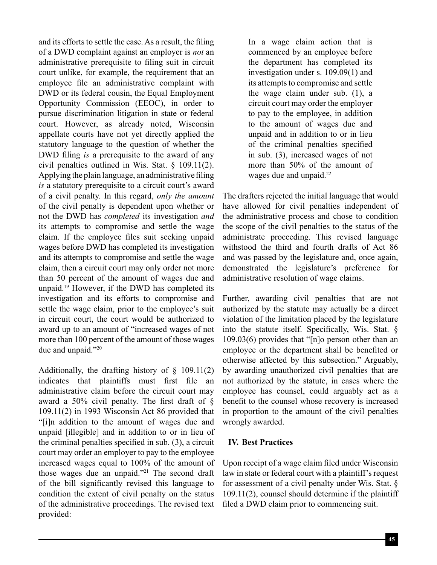and its efforts to settle the case. As a result, the filing of a DWD complaint against an employer is *not* an administrative prerequisite to filing suit in circuit court unlike, for example, the requirement that an employee file an administrative complaint with DWD or its federal cousin, the Equal Employment Opportunity Commission (EEOC), in order to pursue discrimination litigation in state or federal court. However, as already noted, Wisconsin appellate courts have not yet directly applied the statutory language to the question of whether the DWD filing *is* a prerequisite to the award of any civil penalties outlined in Wis. Stat. § 109.11(2). Applying the plain language, an administrative filing *is* a statutory prerequisite to a circuit court's award of a civil penalty. In this regard, *only the amount* of the civil penalty is dependent upon whether or not the DWD has *completed* its investigation *and* its attempts to compromise and settle the wage claim. If the employee files suit seeking unpaid wages before DWD has completed its investigation and its attempts to compromise and settle the wage claim, then a circuit court may only order not more than 50 percent of the amount of wages due and unpaid.19 However, if the DWD has completed its investigation and its efforts to compromise and settle the wage claim, prior to the employee's suit in circuit court, the court would be authorized to award up to an amount of "increased wages of not more than 100 percent of the amount of those wages due and unpaid."20

Additionally, the drafting history of  $\S$  109.11(2) indicates that plaintiffs must first file an administrative claim before the circuit court may award a 50% civil penalty. The first draft of § 109.11(2) in 1993 Wisconsin Act 86 provided that "[i]n addition to the amount of wages due and unpaid [illegible] and in addition to or in lieu of the criminal penalties specified in sub. (3), a circuit court may order an employer to pay to the employee increased wages equal to 100% of the amount of those wages due an unpaid."21 The second draft of the bill significantly revised this language to condition the extent of civil penalty on the status of the administrative proceedings. The revised text provided:

In a wage claim action that is commenced by an employee before the department has completed its investigation under s. 109.09(1) and its attempts to compromise and settle the wage claim under sub. (1), a circuit court may order the employer to pay to the employee, in addition to the amount of wages due and unpaid and in addition to or in lieu of the criminal penalties specified in sub. (3), increased wages of not more than 50% of the amount of wages due and unpaid.<sup>22</sup>

The drafters rejected the initial language that would have allowed for civil penalties independent of the administrative process and chose to condition the scope of the civil penalties to the status of the administrate proceeding. This revised language withstood the third and fourth drafts of Act 86 and was passed by the legislature and, once again, demonstrated the legislature's preference for administrative resolution of wage claims.

Further, awarding civil penalties that are not authorized by the statute may actually be a direct violation of the limitation placed by the legislature into the statute itself. Specifically, Wis. Stat. § 109.03(6) provides that "[n]o person other than an employee or the department shall be benefited or otherwise affected by this subsection." Arguably, by awarding unauthorized civil penalties that are not authorized by the statute, in cases where the employee has counsel, could arguably act as a benefit to the counsel whose recovery is increased in proportion to the amount of the civil penalties wrongly awarded.

### **IV. Best Practices**

Upon receipt of a wage claim filed under Wisconsin law in state or federal court with a plaintiff's request for assessment of a civil penalty under Wis. Stat. § 109.11(2), counsel should determine if the plaintiff filed a DWD claim prior to commencing suit.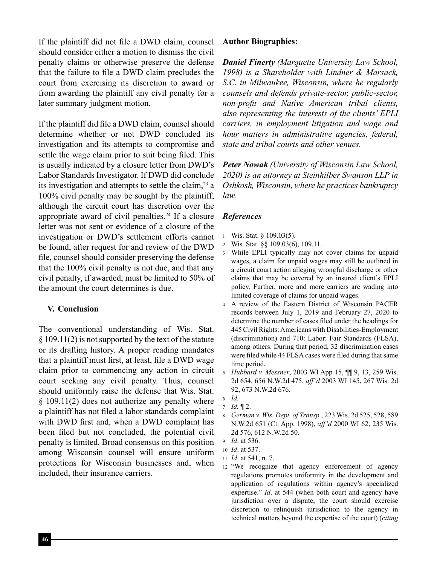If the plaintiff did not file a DWD claim, counsel should consider either a motion to dismiss the civil penalty claims or otherwise preserve the defense that the failure to file a DWD claim precludes the court from exercising its discretion to award or from awarding the plaintiff any civil penalty for a later summary judgment motion.

If the plaintiff did file a DWD claim, counsel should determine whether or not DWD concluded its investigation and its attempts to compromise and settle the wage claim prior to suit being filed. This is usually indicated by a closure letter from DWD's Labor Standards Investigator. If DWD did conclude its investigation and attempts to settle the claim, $^{23}$  a 100% civil penalty may be sought by the plaintiff, although the circuit court has discretion over the appropriate award of civil penalties.<sup>24</sup> If a closure letter was not sent or evidence of a closure of the investigation or DWD's settlement efforts cannot be found, after request for and review of the DWD file, counsel should consider preserving the defense that the 100% civil penalty is not due, and that any civil penalty, if awarded, must be limited to 50% of the amount the court determines is due.

### **V. Conclusion**

The conventional understanding of Wis. Stat. § 109.11(2) is not supported by the text of the statute or its drafting history. A proper reading mandates that a plaintiff must first, at least, file a DWD wage claim prior to commencing any action in circuit court seeking any civil penalty. Thus, counsel should uniformly raise the defense that Wis. Stat. § 109.11(2) does not authorize any penalty where a plaintiff has not filed a labor standards complaint with DWD first and, when a DWD complaint has been filed but not concluded, the potential civil penalty is limited. Broad consensus on this position among Wisconsin counsel will ensure uniform protections for Wisconsin businesses and, when included, their insurance carriers.

### **Author Biographies:**

*Daniel Finerty (Marquette University Law School, 1998) is a Shareholder with Lindner & Marsack, S.C. in Milwaukee, Wisconsin, where he regularly counsels and defends private-sector, public-sector, non-profit and Native American tribal clients, also representing the interests of the clients' EPLI carriers, in employment litigation and wage and hour matters in administrative agencies, federal, state and tribal courts and other venues.* 

*Peter Nowak (University of Wisconsin Law School, 2020) is an attorney at Steinhilber Swanson LLP in Oshkosh, Wisconsin, where he practices bankruptcy law.*

### *References*

- <sup>1</sup> Wis. Stat. § 109.03(5).
- <sup>2</sup> Wis. Stat. §§ 109.03(6), 109.11.
- <sup>3</sup> While EPLI typically may not cover claims for unpaid wages, a claim for unpaid wages may still be outlined in a circuit court action alleging wrongful discharge or other claims that may be covered by an insured client's EPLI policy. Further, more and more carriers are wading into limited coverage of claims for unpaid wages.
- <sup>4</sup> A review of the Eastern District of Wisconsin PACER records between July 1, 2019 and February 27, 2020 to determine the number of cases filed under the headings for 445 Civil Rights: Americans with Disabilities-Employment (discrimination) and 710: Labor: Fair Standards (FLSA), among others. During that period, 32 discrimination cases were filed while 44 FLSA cases were filed during that same time period.
- <sup>5</sup> *Hubbard v. Messner*, 2003 WI App 15, ¶¶ 9, 13, 259 Wis. 2d 654, 656 N.W.2d 475, *aff'd* 2003 WI 145, 267 Wis. 2d 92, 673 N.W.2d 676.
- <sup>6</sup> *Id.* <sup>7</sup> *Id.* ¶ 2.
- <sup>8</sup> *German v. Wis. Dept. of Transp.*, 223 Wis. 2d 525, 528, 589 N.W.2d 651 (Ct. App. 1998), *aff'd* 2000 WI 62, 235 Wis. 2d 576, 612 N.W.2d 50.
- <sup>9</sup> *Id*. at 536.
- <sup>10</sup> *Id*. at 537.
- <sup>11</sup> *Id*. at 541, n. 7.
- <sup>12</sup> "We recognize that agency enforcement of agency regulations promotes uniformity in the development and application of regulations within agency's specialized expertise." *Id*. at 544 (when both court and agency have jurisdiction over a dispute, the court should exercise discretion to relinquish jurisdiction to the agency in technical matters beyond the expertise of the court) (*citing*